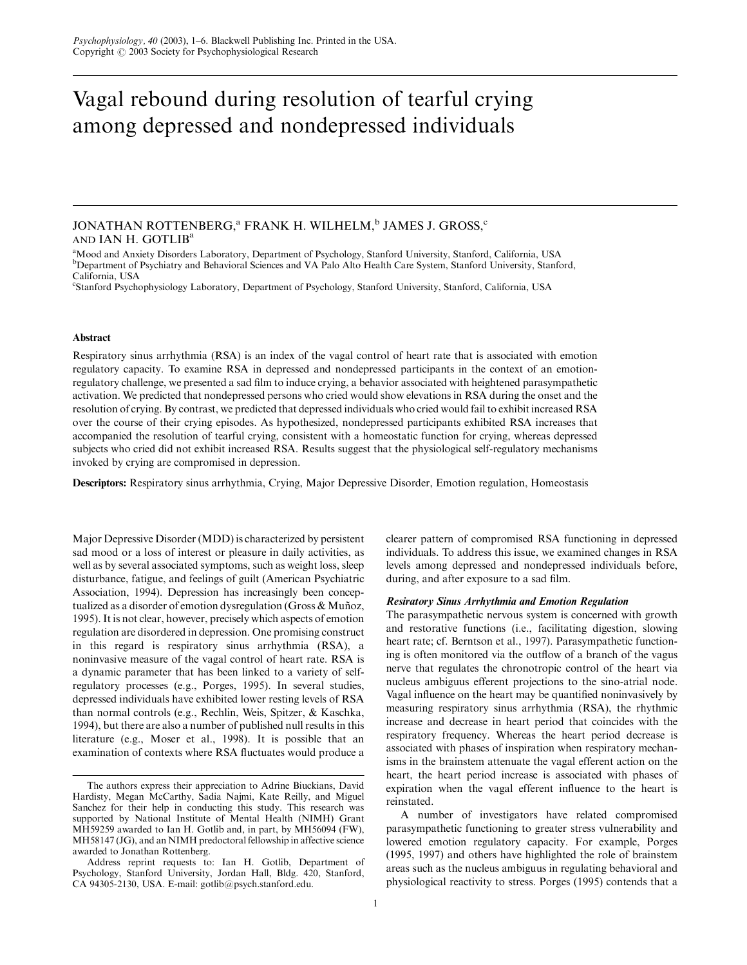# Vagal rebound during resolution of tearful crying among depressed and nondepressed individuals

# JONATHAN ROTTENBERG, $a$  FRANK H. WILHELM, $b$  JAMES J. GROSS, $c$ AND IAN H. GOTLIB<sup>a</sup>

<sup>a</sup>Mood and Anxiety Disorders Laboratory, Department of Psychology, Stanford University, Stanford, California, USA <sup>b</sup>Department of Psychiatry and Behavioral Sciences and VA Palo Alto Health Care System, Stanford University, Stanford, California, USA

c Stanford Psychophysiology Laboratory, Department of Psychology, Stanford University, Stanford, California, USA

#### Abstract

Respiratory sinus arrhythmia (RSA) is an index of the vagal control of heart rate that is associated with emotion regulatory capacity. To examine RSA in depressed and nondepressed participants in the context of an emotionregulatory challenge, we presented a sad film to induce crying, a behavior associated with heightened parasympathetic activation. We predicted that nondepressed persons who cried would show elevations in RSA during the onset and the resolution of crying. By contrast, we predicted that depressed individuals who cried would fail to exhibit increased RSA over the course of their crying episodes. As hypothesized, nondepressed participants exhibited RSA increases that accompanied the resolution of tearful crying, consistent with a homeostatic function for crying, whereas depressed subjects who cried did not exhibit increased RSA. Results suggest that the physiological self-regulatory mechanisms invoked by crying are compromised in depression.

Descriptors: Respiratory sinus arrhythmia, Crying, Major Depressive Disorder, Emotion regulation, Homeostasis

Major Depressive Disorder (MDD) is characterized by persistent sad mood or a loss of interest or pleasure in daily activities, as well as by several associated symptoms, such as weight loss, sleep disturbance, fatigue, and feelings of guilt (American Psychiatric Association, 1994). Depression has increasingly been conceptualized as a disorder of emotion dysregulation (Gross & Muñoz, 1995). It is not clear, however, precisely which aspects of emotion regulation are disordered in depression. One promising construct in this regard is respiratory sinus arrhythmia (RSA), a noninvasive measure of the vagal control of heart rate. RSA is a dynamic parameter that has been linked to a variety of selfregulatory processes (e.g., Porges, 1995). In several studies, depressed individuals have exhibited lower resting levels of RSA than normal controls (e.g., Rechlin, Weis, Spitzer, & Kaschka, 1994), but there are also a number of published null results in this literature (e.g., Moser et al., 1998). It is possible that an examination of contexts where RSA fluctuates would produce a

clearer pattern of compromised RSA functioning in depressed individuals. To address this issue, we examined changes in RSA levels among depressed and nondepressed individuals before, during, and after exposure to a sad film.

# Resiratory Sinus Arrhythmia and Emotion Regulation

The parasympathetic nervous system is concerned with growth and restorative functions (i.e., facilitating digestion, slowing heart rate; cf. Berntson et al., 1997). Parasympathetic functioning is often monitored via the outflow of a branch of the vagus nerve that regulates the chronotropic control of the heart via nucleus ambiguus efferent projections to the sino-atrial node. Vagal influence on the heart may be quantified noninvasively by measuring respiratory sinus arrhythmia (RSA), the rhythmic increase and decrease in heart period that coincides with the respiratory frequency. Whereas the heart period decrease is associated with phases of inspiration when respiratory mechanisms in the brainstem attenuate the vagal efferent action on the heart, the heart period increase is associated with phases of expiration when the vagal efferent influence to the heart is reinstated.

A number of investigators have related compromised parasympathetic functioning to greater stress vulnerability and lowered emotion regulatory capacity. For example, Porges (1995, 1997) and others have highlighted the role of brainstem areas such as the nucleus ambiguus in regulating behavioral and physiological reactivity to stress. Porges (1995) contends that a

The authors express their appreciation to Adrine Biuckians, David Hardisty, Megan McCarthy, Sadia Najmi, Kate Reilly, and Miguel Sanchez for their help in conducting this study. This research was supported by National Institute of Mental Health (NIMH) Grant MH59259 awarded to Ian H. Gotlib and, in part, by MH56094 (FW), MH58147 (JG), and an NIMH predoctoral fellowship in affective science awarded to Jonathan Rottenberg.

Address reprint requests to: Ian H. Gotlib, Department of Psychology, Stanford University, Jordan Hall, Bldg. 420, Stanford, CA 94305-2130, USA. E-mail: gotlib@psych.stanford.edu.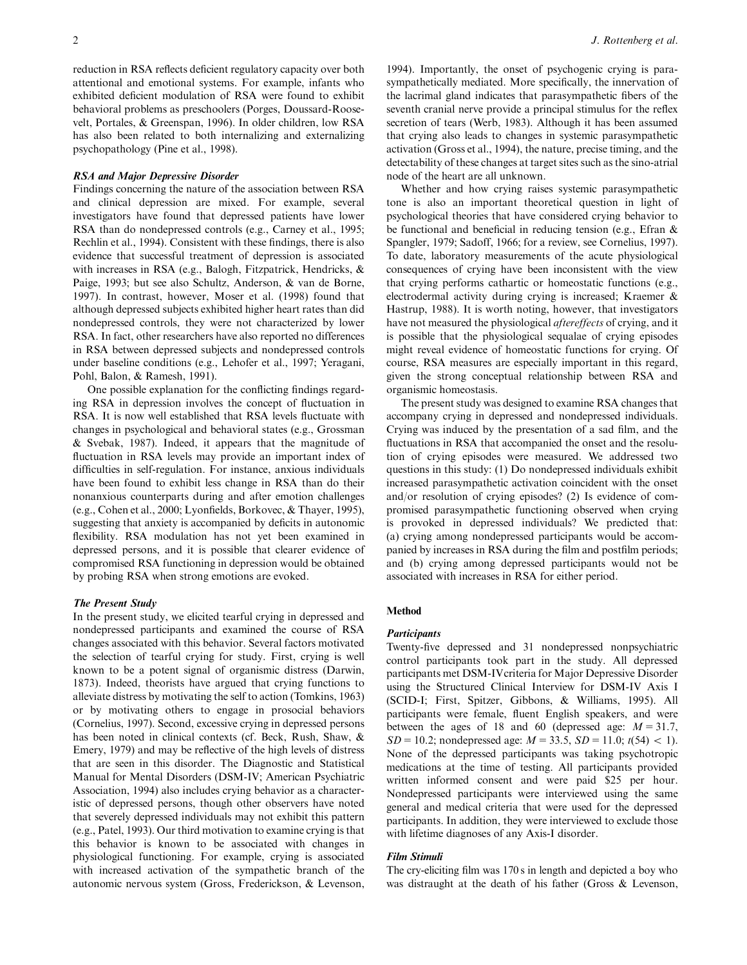reduction in RSA reflects deficient regulatory capacity over both attentional and emotional systems. For example, infants who exhibited deficient modulation of RSA were found to exhibit behavioral problems as preschoolers (Porges, Doussard-Roosevelt, Portales, & Greenspan, 1996). In older children, low RSA has also been related to both internalizing and externalizing psychopathology (Pine et al., 1998).

#### RSA and Major Depressive Disorder

Findings concerning the nature of the association between RSA and clinical depression are mixed. For example, several investigators have found that depressed patients have lower RSA than do nondepressed controls (e.g., Carney et al., 1995; Rechlin et al., 1994). Consistent with these findings, there is also evidence that successful treatment of depression is associated with increases in RSA (e.g., Balogh, Fitzpatrick, Hendricks, & Paige, 1993; but see also Schultz, Anderson, & van de Borne, 1997). In contrast, however, Moser et al. (1998) found that although depressed subjects exhibited higher heart rates than did nondepressed controls, they were not characterized by lower RSA. In fact, other researchers have also reported no differences in RSA between depressed subjects and nondepressed controls under baseline conditions (e.g., Lehofer et al., 1997; Yeragani, Pohl, Balon, & Ramesh, 1991).

One possible explanation for the conflicting findings regarding RSA in depression involves the concept of fluctuation in RSA. It is now well established that RSA levels fluctuate with changes in psychological and behavioral states (e.g., Grossman & Svebak, 1987). Indeed, it appears that the magnitude of fluctuation in RSA levels may provide an important index of difficulties in self-regulation. For instance, anxious individuals have been found to exhibit less change in RSA than do their nonanxious counterparts during and after emotion challenges (e.g., Cohen et al., 2000; Lyonfields, Borkovec, & Thayer, 1995), suggesting that anxiety is accompanied by deficits in autonomic flexibility. RSA modulation has not yet been examined in depressed persons, and it is possible that clearer evidence of compromised RSA functioning in depression would be obtained by probing RSA when strong emotions are evoked.

#### The Present Study

In the present study, we elicited tearful crying in depressed and nondepressed participants and examined the course of RSA changes associated with this behavior. Several factors motivated the selection of tearful crying for study. First, crying is well known to be a potent signal of organismic distress (Darwin, 1873). Indeed, theorists have argued that crying functions to alleviate distress by motivating the self to action (Tomkins, 1963) or by motivating others to engage in prosocial behaviors (Cornelius, 1997). Second, excessive crying in depressed persons has been noted in clinical contexts (cf. Beck, Rush, Shaw, & Emery, 1979) and may be reflective of the high levels of distress that are seen in this disorder. The Diagnostic and Statistical Manual for Mental Disorders (DSM-IV; American Psychiatric Association, 1994) also includes crying behavior as a characteristic of depressed persons, though other observers have noted that severely depressed individuals may not exhibit this pattern (e.g., Patel, 1993). Our third motivation to examine crying is that this behavior is known to be associated with changes in physiological functioning. For example, crying is associated with increased activation of the sympathetic branch of the autonomic nervous system (Gross, Frederickson, & Levenson,

1994). Importantly, the onset of psychogenic crying is parasympathetically mediated. More specifically, the innervation of the lacrimal gland indicates that parasympathetic fibers of the seventh cranial nerve provide a principal stimulus for the reflex secretion of tears (Werb, 1983). Although it has been assumed that crying also leads to changes in systemic parasympathetic activation (Gross et al., 1994), the nature, precise timing, and the detectability of these changes at target sites such as the sino-atrial node of the heart are all unknown.

Whether and how crying raises systemic parasympathetic tone is also an important theoretical question in light of psychological theories that have considered crying behavior to be functional and beneficial in reducing tension (e.g., Efran & Spangler, 1979; Sadoff, 1966; for a review, see Cornelius, 1997). To date, laboratory measurements of the acute physiological consequences of crying have been inconsistent with the view that crying performs cathartic or homeostatic functions (e.g., electrodermal activity during crying is increased; Kraemer & Hastrup, 1988). It is worth noting, however, that investigators have not measured the physiological aftereffects of crying, and it is possible that the physiological sequalae of crying episodes might reveal evidence of homeostatic functions for crying. Of course, RSA measures are especially important in this regard, given the strong conceptual relationship between RSA and organismic homeostasis.

The present study was designed to examine RSA changes that accompany crying in depressed and nondepressed individuals. Crying was induced by the presentation of a sad film, and the fluctuations in RSA that accompanied the onset and the resolution of crying episodes were measured. We addressed two questions in this study: (1) Do nondepressed individuals exhibit increased parasympathetic activation coincident with the onset and/or resolution of crying episodes? (2) Is evidence of compromised parasympathetic functioning observed when crying is provoked in depressed individuals? We predicted that: (a) crying among nondepressed participants would be accompanied by increases in RSA during the film and postfilm periods; and (b) crying among depressed participants would not be associated with increases in RSA for either period.

## Method

## **Participants**

Twenty-five depressed and 31 nondepressed nonpsychiatric control participants took part in the study. All depressed participants met DSM-IVcriteria for Major Depressive Disorder using the Structured Clinical Interview for DSM-IV Axis I (SCID-I; First, Spitzer, Gibbons, & Williams, 1995). All participants were female, fluent English speakers, and were between the ages of 18 and 60 (depressed age:  $M = 31.7$ ,  $SD = 10.2$ ; nondepressed age:  $M = 33.5$ ,  $SD = 11.0$ ;  $t(54) < 1$ . None of the depressed participants was taking psychotropic medications at the time of testing. All participants provided written informed consent and were paid \$25 per hour. Nondepressed participants were interviewed using the same general and medical criteria that were used for the depressed participants. In addition, they were interviewed to exclude those with lifetime diagnoses of any Axis-I disorder.

# Film Stimuli

The cry-eliciting film was 170 s in length and depicted a boy who was distraught at the death of his father (Gross & Levenson,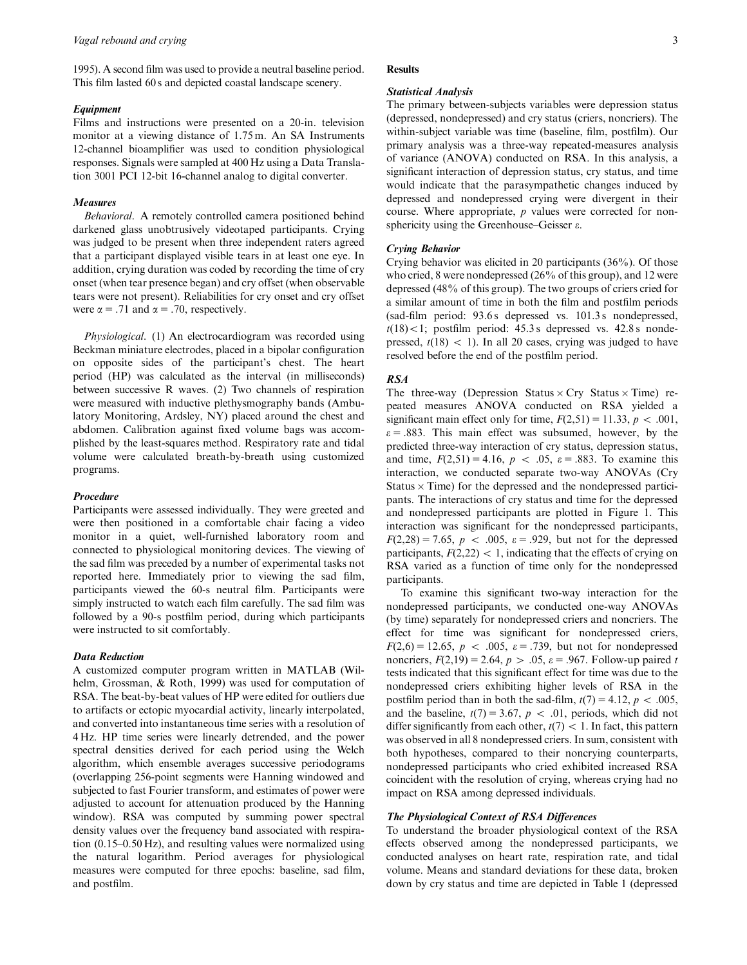1995). A second film was used to provide a neutral baseline period. This film lasted 60 s and depicted coastal landscape scenery.

# Equipment

Films and instructions were presented on a 20-in. television monitor at a viewing distance of 1.75 m. An SA Instruments 12-channel bioamplifier was used to condition physiological responses. Signals were sampled at 400 Hz using a Data Translation 3001 PCI 12-bit 16-channel analog to digital converter.

#### Measures

Behavioral. A remotely controlled camera positioned behind darkened glass unobtrusively videotaped participants. Crying was judged to be present when three independent raters agreed that a participant displayed visible tears in at least one eye. In addition, crying duration was coded by recording the time of cry onset (when tear presence began) and cry offset (when observable tears were not present). Reliabilities for cry onset and cry offset were  $\alpha = .71$  and  $\alpha = .70$ , respectively.

Physiological. (1) An electrocardiogram was recorded using Beckman miniature electrodes, placed in a bipolar configuration on opposite sides of the participant's chest. The heart period (HP) was calculated as the interval (in milliseconds) between successive R waves. (2) Two channels of respiration were measured with inductive plethysmography bands (Ambulatory Monitoring, Ardsley, NY) placed around the chest and abdomen. Calibration against fixed volume bags was accomplished by the least-squares method. Respiratory rate and tidal volume were calculated breath-by-breath using customized programs.

# Procedure

Participants were assessed individually. They were greeted and were then positioned in a comfortable chair facing a video monitor in a quiet, well-furnished laboratory room and connected to physiological monitoring devices. The viewing of the sad film was preceded by a number of experimental tasks not reported here. Immediately prior to viewing the sad film, participants viewed the 60-s neutral film. Participants were simply instructed to watch each film carefully. The sad film was followed by a 90-s postfilm period, during which participants were instructed to sit comfortably.

# Data Reduction

A customized computer program written in MATLAB (Wilhelm, Grossman, & Roth, 1999) was used for computation of RSA. The beat-by-beat values of HP were edited for outliers due to artifacts or ectopic myocardial activity, linearly interpolated, and converted into instantaneous time series with a resolution of 4 Hz. HP time series were linearly detrended, and the power spectral densities derived for each period using the Welch algorithm, which ensemble averages successive periodograms (overlapping 256-point segments were Hanning windowed and subjected to fast Fourier transform, and estimates of power were adjusted to account for attenuation produced by the Hanning window). RSA was computed by summing power spectral density values over the frequency band associated with respiration (0.15–0.50 Hz), and resulting values were normalized using the natural logarithm. Period averages for physiological measures were computed for three epochs: baseline, sad film, and postfilm.

#### **Results**

# Statistical Analysis

The primary between-subjects variables were depression status (depressed, nondepressed) and cry status (criers, noncriers). The within-subject variable was time (baseline, film, postfilm). Our primary analysis was a three-way repeated-measures analysis of variance (ANOVA) conducted on RSA. In this analysis, a significant interaction of depression status, cry status, and time would indicate that the parasympathetic changes induced by depressed and nondepressed crying were divergent in their course. Where appropriate, p values were corrected for nonsphericity using the Greenhouse–Geisser  $\varepsilon$ .

#### Crying Behavior

Crying behavior was elicited in 20 participants (36%). Of those who cried, 8 were nondepressed (26% of this group), and 12 were depressed (48% of this group). The two groups of criers cried for a similar amount of time in both the film and postfilm periods (sad-film period: 93.6 s depressed vs. 101.3 s nondepressed,  $t(18)$ <1; postfilm period: 45.3 s depressed vs. 42.8 s nondepressed,  $t(18)$  < 1). In all 20 cases, crying was judged to have resolved before the end of the postfilm period.

## RSA

The three-way (Depression Status  $\times$  Cry Status  $\times$  Time) repeated measures ANOVA conducted on RSA yielded a significant main effect only for time,  $F(2,51) = 11.33$ ,  $p < .001$ ,  $\varepsilon$  = .883. This main effect was subsumed, however, by the predicted three-way interaction of cry status, depression status, and time,  $F(2,51) = 4.16$ ,  $p < .05$ ,  $\varepsilon = .883$ . To examine this interaction, we conducted separate two-way ANOVAs (Cry Status  $\times$  Time) for the depressed and the nondepressed participants. The interactions of cry status and time for the depressed and nondepressed participants are plotted in Figure 1. This interaction was significant for the nondepressed participants,  $F(2,28) = 7.65, p < .005, \varepsilon = .929$ , but not for the depressed participants,  $F(2,22) < 1$ , indicating that the effects of crying on RSA varied as a function of time only for the nondepressed participants.

To examine this significant two-way interaction for the nondepressed participants, we conducted one-way ANOVAs (by time) separately for nondepressed criers and noncriers. The effect for time was significant for nondepressed criers,  $F(2,6) = 12.65, p < .005, \varepsilon = .739$ , but not for nondepressed noncriers,  $F(2,19) = 2.64$ ,  $p > .05$ ,  $\varepsilon = .967$ . Follow-up paired t tests indicated that this significant effect for time was due to the nondepressed criers exhibiting higher levels of RSA in the postfilm period than in both the sad-film,  $t(7) = 4.12$ ,  $p < .005$ , and the baseline,  $t(7) = 3.67$ ,  $p < .01$ , periods, which did not differ significantly from each other,  $t(7) < 1$ . In fact, this pattern was observed in all 8 nondepressed criers. In sum, consistent with both hypotheses, compared to their noncrying counterparts, nondepressed participants who cried exhibited increased RSA coincident with the resolution of crying, whereas crying had no impact on RSA among depressed individuals.

# The Physiological Context of RSA Differences

To understand the broader physiological context of the RSA effects observed among the nondepressed participants, we conducted analyses on heart rate, respiration rate, and tidal volume. Means and standard deviations for these data, broken down by cry status and time are depicted in Table 1 (depressed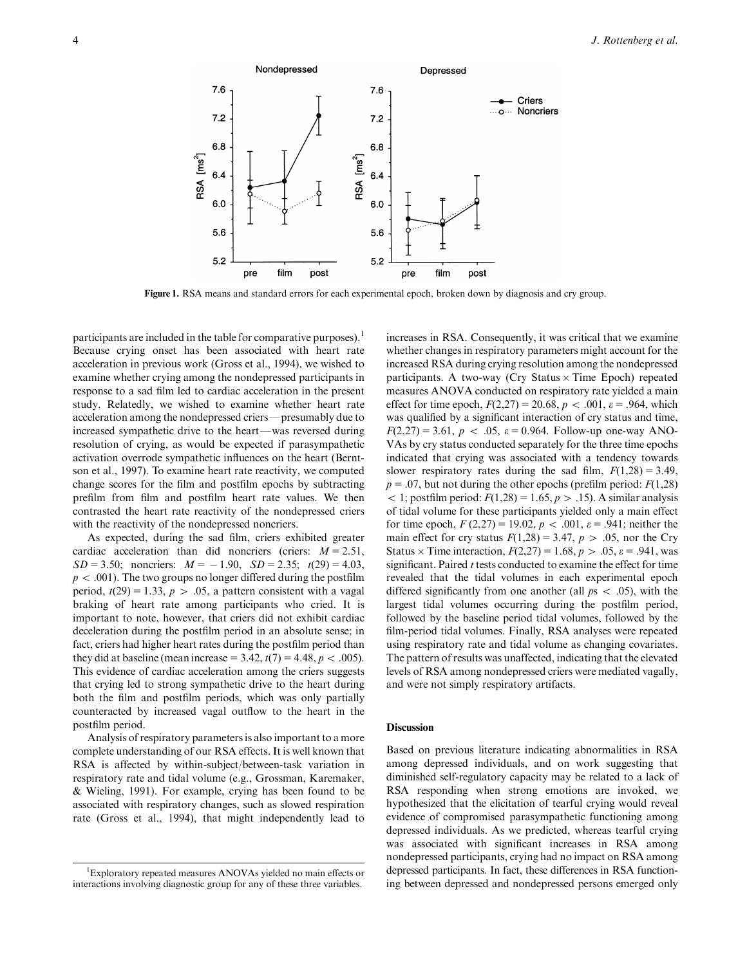

Figure 1. RSA means and standard errors for each experimental epoch, broken down by diagnosis and cry group.

participants are included in the table for comparative purposes).<sup>1</sup> Because crying onset has been associated with heart rate acceleration in previous work (Gross et al., 1994), we wished to examine whether crying among the nondepressed participants in response to a sad film led to cardiac acceleration in the present study. Relatedly, we wished to examine whether heart rate acceleration among the nondepressed criers—presumably due to increased sympathetic drive to the heart—was reversed during resolution of crying, as would be expected if parasympathetic activation overrode sympathetic influences on the heart (Berntson et al., 1997). To examine heart rate reactivity, we computed change scores for the film and postfilm epochs by subtracting prefilm from film and postfilm heart rate values. We then contrasted the heart rate reactivity of the nondepressed criers with the reactivity of the nondepressed noncriers.

As expected, during the sad film, criers exhibited greater cardiac acceleration than did noncriers (criers:  $M = 2.51$ ,  $SD = 3.50$ ; noncriers:  $M = -1.90$ ,  $SD = 2.35$ ;  $t(29) = 4.03$ ,  $p < .001$ ). The two groups no longer differed during the postfilm period,  $t(29) = 1.33$ ,  $p > .05$ , a pattern consistent with a vagal braking of heart rate among participants who cried. It is important to note, however, that criers did not exhibit cardiac deceleration during the postfilm period in an absolute sense; in fact, criers had higher heart rates during the postfilm period than they did at baseline (mean increase = 3.42,  $t(7) = 4.48$ ,  $p < .005$ ). This evidence of cardiac acceleration among the criers suggests that crying led to strong sympathetic drive to the heart during both the film and postfilm periods, which was only partially counteracted by increased vagal outflow to the heart in the postfilm period.

Analysis of respiratory parameters is also important to a more complete understanding of our RSA effects. It is well known that RSA is affected by within-subject/between-task variation in respiratory rate and tidal volume (e.g., Grossman, Karemaker, & Wieling, 1991). For example, crying has been found to be associated with respiratory changes, such as slowed respiration rate (Gross et al., 1994), that might independently lead to

increases in RSA. Consequently, it was critical that we examine whether changes in respiratory parameters might account for the increased RSA during crying resolution among the nondepressed participants. A two-way (Cry Status  $\times$  Time Epoch) repeated measures ANOVA conducted on respiratory rate yielded a main effect for time epoch,  $F(2,27) = 20.68$ ,  $p < .001$ ,  $\varepsilon = .964$ , which was qualified by a significant interaction of cry status and time,  $F(2,27) = 3.61$ ,  $p < .05$ ,  $\varepsilon = 0.964$ . Follow-up one-way ANO-VAs by cry status conducted separately for the three time epochs indicated that crying was associated with a tendency towards slower respiratory rates during the sad film,  $F(1,28) = 3.49$ ,  $p = .07$ , but not during the other epochs (prefilm period:  $F(1,28)$ )  $<$  1; postfilm period:  $F(1,28) = 1.65, p > .15$ ). A similar analysis of tidal volume for these participants yielded only a main effect for time epoch,  $F(2,27) = 19.02$ ,  $p < .001$ ,  $\varepsilon = .941$ ; neither the main effect for cry status  $F(1,28) = 3.47$ ,  $p > .05$ , nor the Cry Status  $\times$  Time interaction,  $F(2,27) = 1.68$ ,  $p > .05$ ,  $\varepsilon = .941$ , was significant. Paired  $t$  tests conducted to examine the effect for time revealed that the tidal volumes in each experimental epoch differed significantly from one another (all  $ps < .05$ ), with the largest tidal volumes occurring during the postfilm period, followed by the baseline period tidal volumes, followed by the film-period tidal volumes. Finally, RSA analyses were repeated using respiratory rate and tidal volume as changing covariates. The pattern of results was unaffected, indicating that the elevated levels of RSA among nondepressed criers were mediated vagally, and were not simply respiratory artifacts.

## Discussion

Based on previous literature indicating abnormalities in RSA among depressed individuals, and on work suggesting that diminished self-regulatory capacity may be related to a lack of RSA responding when strong emotions are invoked, we hypothesized that the elicitation of tearful crying would reveal evidence of compromised parasympathetic functioning among depressed individuals. As we predicted, whereas tearful crying was associated with significant increases in RSA among nondepressed participants, crying had no impact on RSA among depressed participants. In fact, these differences in RSA functioning between depressed and nondepressed persons emerged only

<sup>1</sup> Exploratory repeated measures ANOVAs yielded no main effects or interactions involving diagnostic group for any of these three variables.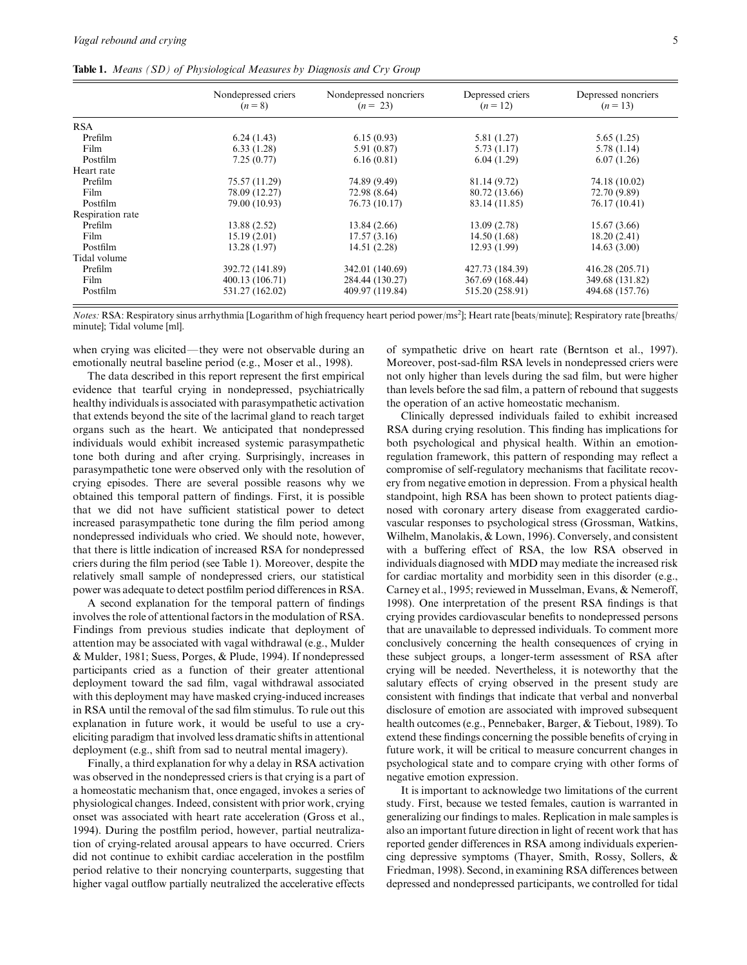Table 1. Means (SD) of Physiological Measures by Diagnosis and Cry Group

|                  | Nondepressed criers<br>$(n = 8)$ | Nondepressed noncriers<br>$(n = 23)$ | Depressed criers<br>$(n = 12)$ | Depressed noncriers<br>$(n = 13)$ |
|------------------|----------------------------------|--------------------------------------|--------------------------------|-----------------------------------|
| <b>RSA</b>       |                                  |                                      |                                |                                   |
| Prefilm          | 6.24(1.43)                       | 6.15(0.93)                           | 5.81 (1.27)                    | 5.65(1.25)                        |
| Film             | 6.33(1.28)                       | 5.91 (0.87)                          | 5.73(1.17)                     | 5.78 (1.14)                       |
| Postfilm         | 7.25(0.77)                       | 6.16(0.81)                           | 6.04(1.29)                     | 6.07(1.26)                        |
| Heart rate       |                                  |                                      |                                |                                   |
| Prefilm          | 75.57 (11.29)                    | 74.89 (9.49)                         | 81.14 (9.72)                   | 74.18 (10.02)                     |
| Film             | 78.09 (12.27)                    | 72.98 (8.64)                         | 80.72 (13.66)                  | 72.70 (9.89)                      |
| Postfilm         | 79.00 (10.93)                    | 76.73 (10.17)                        | 83.14 (11.85)                  | 76.17 (10.41)                     |
| Respiration rate |                                  |                                      |                                |                                   |
| Prefilm          | 13.88 (2.52)                     | 13.84 (2.66)                         | 13.09(2.78)                    | 15.67 (3.66)                      |
| Film             | 15.19(2.01)                      | 17.57(3.16)                          | 14.50(1.68)                    | 18.20(2.41)                       |
| Postfilm         | 13.28 (1.97)                     | 14.51 (2.28)                         | 12.93(1.99)                    | 14.63(3.00)                       |
| Tidal volume     |                                  |                                      |                                |                                   |
| Prefilm          | 392.72 (141.89)                  | 342.01 (140.69)                      | 427.73 (184.39)                | 416.28 (205.71)                   |
| Film             | 400.13 (106.71)                  | 284.44 (130.27)                      | 367.69 (168.44)                | 349.68 (131.82)                   |
| Postfilm         | 531.27 (162.02)                  | 409.97 (119.84)                      | 515.20 (258.91)                | 494.68 (157.76)                   |

Notes: RSA: Respiratory sinus arrhythmia [Logarithm of high frequency heart period power/ms<sup>2</sup>]; Heart rate [beats/minute]; Respiratory rate [breaths/ minute]; Tidal volume [ml].

when crying was elicited—they were not observable during an emotionally neutral baseline period (e.g., Moser et al., 1998).

The data described in this report represent the first empirical evidence that tearful crying in nondepressed, psychiatrically healthy individuals is associated with parasympathetic activation that extends beyond the site of the lacrimal gland to reach target organs such as the heart. We anticipated that nondepressed individuals would exhibit increased systemic parasympathetic tone both during and after crying. Surprisingly, increases in parasympathetic tone were observed only with the resolution of crying episodes. There are several possible reasons why we obtained this temporal pattern of findings. First, it is possible that we did not have sufficient statistical power to detect increased parasympathetic tone during the film period among nondepressed individuals who cried. We should note, however, that there is little indication of increased RSA for nondepressed criers during the film period (see Table 1). Moreover, despite the relatively small sample of nondepressed criers, our statistical power was adequate to detect postfilm period differences in RSA.

A second explanation for the temporal pattern of findings involves the role of attentional factors in the modulation of RSA. Findings from previous studies indicate that deployment of attention may be associated with vagal withdrawal (e.g., Mulder & Mulder, 1981; Suess, Porges, & Plude, 1994). If nondepressed participants cried as a function of their greater attentional deployment toward the sad film, vagal withdrawal associated with this deployment may have masked crying-induced increases in RSA until the removal of the sad film stimulus. To rule out this explanation in future work, it would be useful to use a cryeliciting paradigm that involved less dramatic shifts in attentional deployment (e.g., shift from sad to neutral mental imagery).

Finally, a third explanation for why a delay in RSA activation was observed in the nondepressed criers is that crying is a part of a homeostatic mechanism that, once engaged, invokes a series of physiological changes. Indeed, consistent with prior work, crying onset was associated with heart rate acceleration (Gross et al., 1994). During the postfilm period, however, partial neutralization of crying-related arousal appears to have occurred. Criers did not continue to exhibit cardiac acceleration in the postfilm period relative to their noncrying counterparts, suggesting that higher vagal outflow partially neutralized the accelerative effects

of sympathetic drive on heart rate (Berntson et al., 1997). Moreover, post-sad-film RSA levels in nondepressed criers were not only higher than levels during the sad film, but were higher than levels before the sad film, a pattern of rebound that suggests the operation of an active homeostatic mechanism.

Clinically depressed individuals failed to exhibit increased RSA during crying resolution. This finding has implications for both psychological and physical health. Within an emotionregulation framework, this pattern of responding may reflect a compromise of self-regulatory mechanisms that facilitate recovery from negative emotion in depression. From a physical health standpoint, high RSA has been shown to protect patients diagnosed with coronary artery disease from exaggerated cardiovascular responses to psychological stress (Grossman, Watkins, Wilhelm, Manolakis, & Lown, 1996). Conversely, and consistent with a buffering effect of RSA, the low RSA observed in individuals diagnosed with MDD may mediate the increased risk for cardiac mortality and morbidity seen in this disorder (e.g., Carney et al., 1995; reviewed in Musselman, Evans, & Nemeroff, 1998). One interpretation of the present RSA findings is that crying provides cardiovascular benefits to nondepressed persons that are unavailable to depressed individuals. To comment more conclusively concerning the health consequences of crying in these subject groups, a longer-term assessment of RSA after crying will be needed. Nevertheless, it is noteworthy that the salutary effects of crying observed in the present study are consistent with findings that indicate that verbal and nonverbal disclosure of emotion are associated with improved subsequent health outcomes (e.g., Pennebaker, Barger, & Tiebout, 1989). To extend these findings concerning the possible benefits of crying in future work, it will be critical to measure concurrent changes in psychological state and to compare crying with other forms of negative emotion expression.

It is important to acknowledge two limitations of the current study. First, because we tested females, caution is warranted in generalizing our findings to males. Replication in male samples is also an important future direction in light of recent work that has reported gender differences in RSA among individuals experiencing depressive symptoms (Thayer, Smith, Rossy, Sollers, & Friedman, 1998). Second, in examining RSA differences between depressed and nondepressed participants, we controlled for tidal